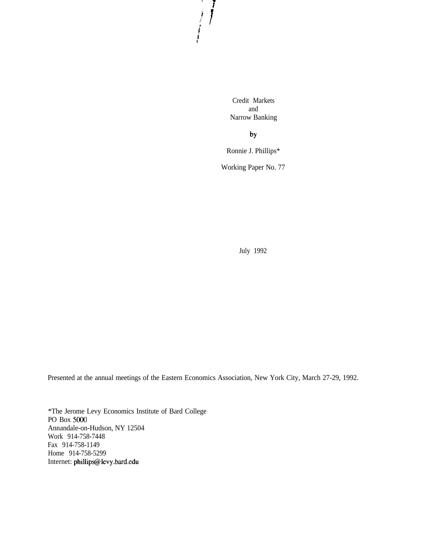Credit Markets and Narrow Banking

 $\frac{1}{2}$ 

by

Ronnie J. Phillips\*

Working Paper No. 77

July 1992

Presented at the annual meetings of the Eastern Economics Association, New York City, March 27-29, 1992.

\*The Jerome Levy Economics Institute of Bard College PO Box 5000 Annandale-on-Hudson, NY 12504 Work 914-758-7448 Fax 914-758-1149 Home 914-758-5299 Internet: phillips@ievy.bard.edu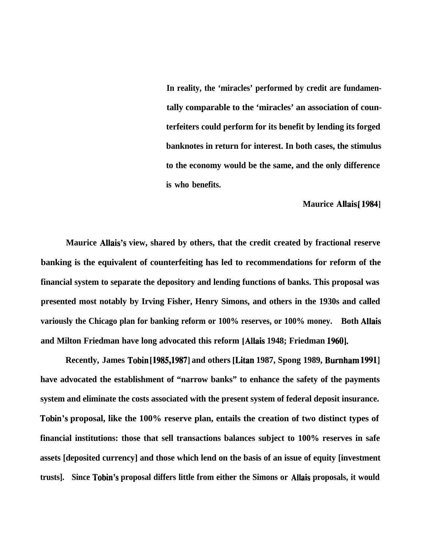**In reality, the 'miracles' performed by credit are fundamentally comparable to the 'miracles' an association of counterfeiters could perform for its benefit by lending its forged banknotes in return for interest. In both cases, the stimulus to the economy would be the same, and the only difference is who benefits.**

**Maurice Allais** [ **19841**

**Maurice Allais's view, shared by others, that the credit created by fractional reserve banking is the equivalent of counterfeiting has led to recommendations for reform of the financial system to separate the depository and lending functions of banks. This proposal was presented most notably by Irving Fisher, Henry Simons, and others in the 1930s and called variously the Chicago plan for banking reform or 100% reserves, or 100% money. Both Allais** and Milton Friedman have long advocated this reform [Allais 1948; Friedman 1960].

**Recently, James Tobin [1985,1987] and others [Litan 1987, Spong 1989, Burnham 19911 have advocated the establishment of "narrow banks" to enhance the safety of the payments system and eliminate the costs associated with the present system of federal deposit insurance. Tobin's proposal, like the 100% reserve plan, entails the creation of two distinct types of financial institutions: those that sell transactions balances subject to 100% reserves in safe assets [deposited currency] and those which lend on the basis of an issue of equity [investment trusts]. Since Tobin's proposal differs little from either the Simons or Allais proposals, it would**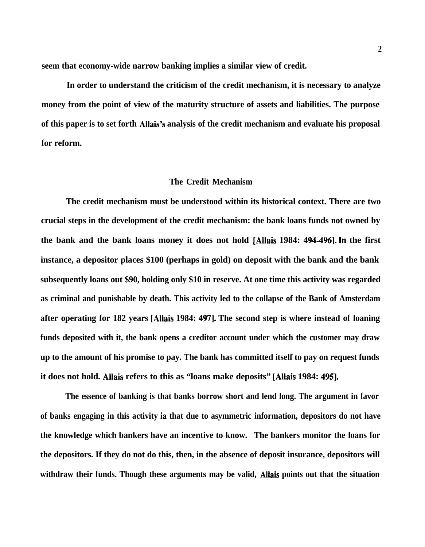**seem that economy-wide narrow banking implies a similar view of credit.**

**In order to understand the criticism of the credit mechanism, it is necessary to analyze money from the point of view of the maturity structure of assets and liabilities. The purpose of this paper is to set forth Allais's analysis of the credit mechanism and evaluate his proposal for reform.**

#### **The Credit Mechanism**

**The credit mechanism must be understood within its historical context. There are two crucial steps in the development of the credit mechanism: the bank loans funds not owned by the bank and the bank loans money it does not hold [Allais 1984: 494-4961. In the first instance, a depositor places \$100 (perhaps in gold) on deposit with the bank and the bank subsequently loans out \$90, holding only \$10 in reserve. At one time this activity was regarded as criminal and punishable by death. This activity led to the collapse of the Bank of Amsterdam after operating for 182 years [Allais 1984: 4971. The second step is where instead of loaning funds deposited with it, the bank opens a creditor account under which the customer may draw up to the amount of his promise to pay. The bank has committed itself to pay on request funds it does not hold. Allais refers to this as "loans make deposits" [Allais 1984: 4951.**

**The essence of banking is that banks borrow short and lend long. The argument in favor of banks engaging in this activity ia that due to asymmetric information, depositors do not have the knowledge which bankers have an incentive to know. The bankers monitor the loans for the depositors. If they do not do this, then, in the absence of deposit insurance, depositors will withdraw their funds. Though these arguments may be valid, Allais points out that the situation**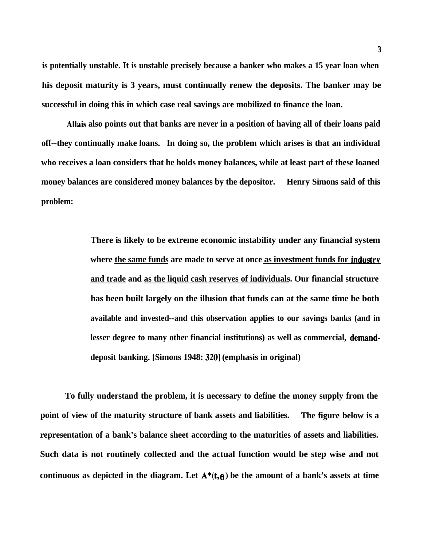**is potentially unstable. It is unstable precisely because a banker who makes a 15 year loan when his deposit maturity is 3 years, must continually renew the deposits. The banker may be successful in doing this in which case real savings are mobilized to finance the loan.**

**Allais also points out that banks are never in a position of having all of their loans paid off--they continually make loans. In doing so, the problem which arises is that an individual who receives a loan considers that he holds money balances, while at least part of these loaned money balances are considered money balances by the depositor. Henry Simons said of this problem:**

> **There is likely to be extreme economic instability under any financial system** where the same funds are made to serve at once as investment funds for industry **and trade and as the liquid cash reserves of individuals. Our financial structure has been built largely on the illusion that funds can at the same time be both available and invested--and this observation applies to our savings banks (and in lesser degree to many other financial institutions) as well as commercial, demanddeposit banking. [Simons 1948: 3201 (emphasis in original)**

**To fully understand the problem, it is necessary to define the money supply from the point of view of the maturity structure of bank assets and liabilities. The figure below is a representation of a bank's balance sheet according to the maturities of assets and liabilities. Such data is not routinely collected and the actual function would be step wise and not** continuous as depicted in the diagram. Let  $A^*(t, \theta)$  be the amount of a bank's assets at time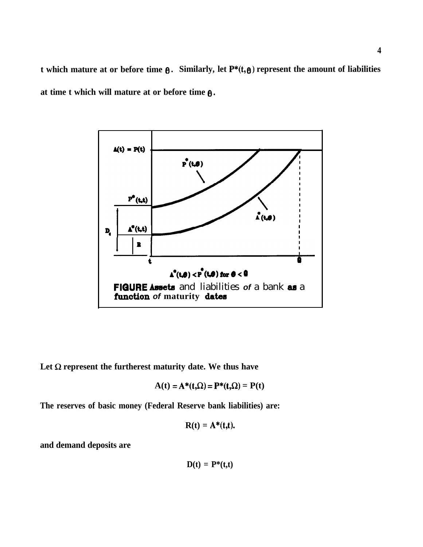**t** which mature at or before time  $\theta$ . Similarly, let  $P^*(t, \theta)$  represent the amount of liabilities **at time t which will mature at or before time 0.**



Let  $\Omega$  represent the furtherest maturity date. We thus have

$$
A(t) = A^*(t,\Omega) = P^*(t,\Omega) = P(t)
$$

**The reserves of basic money (Federal Reserve bank liabilities) are:**

$$
R(t) = A^*(t,t).
$$

**and demand deposits are**

$$
D(t) = P^*(t,t)
$$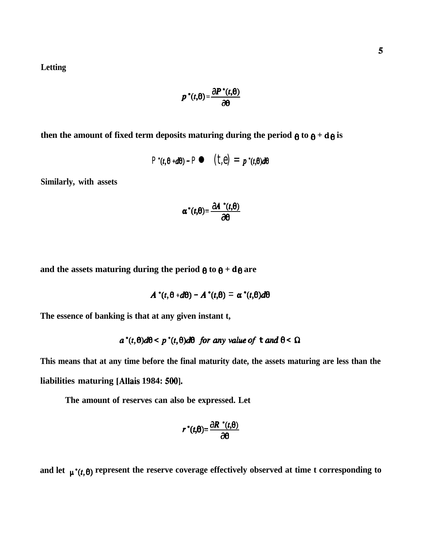**Letting**

$$
p^*(t,\theta) = \frac{\partial P^*(t,\theta)}{\partial \theta}
$$

then the amount of fixed term deposits maturing during the period  $\theta$  to  $\theta$  + d $\theta$  is

$$
P^*(t, \theta + d\theta) - P \bullet (t, \theta) = p^*(t, \theta) d\theta
$$

 $\mathcal{L} = \mathcal{L}$ 

**Similarly, with assets**

$$
\alpha^*(t,\theta) = \frac{\partial A^{*}(t,\theta)}{\partial \theta}
$$

and the assets maturing during the period  $\theta$  to  $\theta$  + d $\theta$  are

$$
A^*(t,\theta+d\theta)-A^*(t,\theta)=\alpha^*(t,\theta)d\theta
$$

**The essence of banking is that at any given instant t,**

$$
a^*(t, \theta)d\theta < p^*(t, \theta)d\theta
$$
 for any value of t and  $\theta < \Omega$ 

**This means that at any time before the final maturity date, the assets maturing are less than the** liabilities maturing [Allais 1984: 500].

**The amount of reserves can also be expressed. Let**

$$
r^*(t,\theta) = \frac{\partial R^*(t,\theta)}{\partial \theta}
$$

and let  $\mu^*(t, \theta)$  represent the reserve coverage effectively observed at time t corresponding to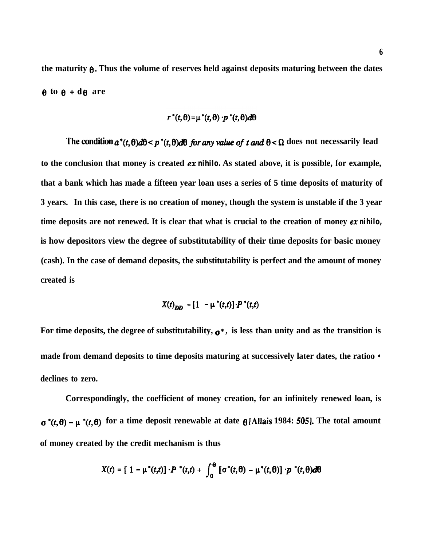the maturity  $\theta$ . Thus the volume of reserves held against deposits maturing between the dates  $\theta$  to  $\theta$  + d $\theta$  are

$$
r^*(t,\theta) = \mu^*(t,\theta) \cdot p^*(t,\theta) d\theta
$$

The condition  $a^*(t, \theta)d\theta < p^*(t, \theta)d\theta$  for any value of t and  $\theta < \Omega$  does not necessarily lead **to the conclusion that money is created ex** *nihilo.* **As stated above, it is possible, for example, that a bank which has made a fifteen year loan uses a series of 5 time deposits of maturity of 3 years. In this case, there is no creation of money, though the system is unstable if the 3 year time deposits are not renewed. It is clear that what is crucial to the creation of money ex** *nihilo,* **is how depositors view the degree of substitutability of their time deposits for basic money (cash). In the case of demand deposits, the substitutability is perfect and the amount of money created is**

$$
X(t)_{DD} = [1 - \mu^*(t,t)] \cdot P^*(t,t)
$$

For time deposits, the degree of substitutability,  $\sigma^*$ , is less than unity and as the transition is **made from demand deposits to time deposits maturing at successively later dates, the ratioo \* declines to zero.**

**Correspondingly, the coefficient of money creation, for an infinitely renewed loan, is**  $\sigma^*(t, \theta) - \mu^*(t, \theta)$  for a time deposit renewable at date  $\theta$  [Allais 1984: 505]. The total amount **of money created by the credit mechanism is thus**

$$
X(t) = [1 - \mu^*(t,t)] \cdot P^*(t,t) + \int_0^\Theta [\sigma^*(t,\theta) - \mu^*(t,\theta)] \cdot p^*(t,\theta) d\theta
$$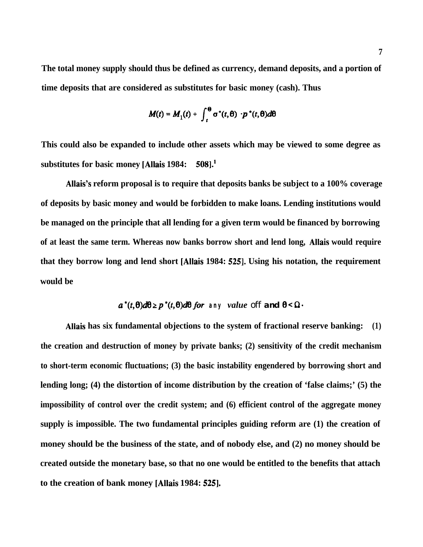**The total money supply should thus be defined as currency, demand deposits, and a portion of time deposits that are considered as substitutes for basic money (cash). Thus**

$$
M(t) = M_1(t) + \int_t^{\Theta} \sigma^*(t, \theta) \cdot p^*(t, \theta) d\theta
$$

**This could also be expanded to include other assets which may be viewed to some degree as substitutes for basic money [Allais 1984: 5081.'**

**Allais's reform proposal is to require that deposits banks be subject to a 100% coverage of deposits by basic money and would be forbidden to make loans. Lending institutions would be managed on the principle that all lending for a given term would be financed by borrowing of at least the same term. Whereas now banks borrow short and lend long, Allais would require that they borrow long and lend short [Allais 1984: 5251. Using his notation, the requirement would be**

$$
a^*(t,\theta)d\theta\geq p^*(t,\theta)d\theta \text{ for any value of } f \text{ and } \theta\leq \Omega
$$

**Allais has six fundamental objections to the system of fractional reserve banking: (1) the creation and destruction of money by private banks; (2) sensitivity of the credit mechanism to short-term economic fluctuations; (3) the basic instability engendered by borrowing short and lending long; (4) the distortion of income distribution by the creation of 'false claims;' (5) the impossibility of control over the credit system; and (6) efficient control of the aggregate money supply is impossible. The two fundamental principles guiding reform are (1) the creation of money should be the business of the state, and of nobody else, and (2) no money should be created outside the monetary base, so that no one would be entitled to the benefits that attach to the creation of bank money [Allais 1984: 5251.**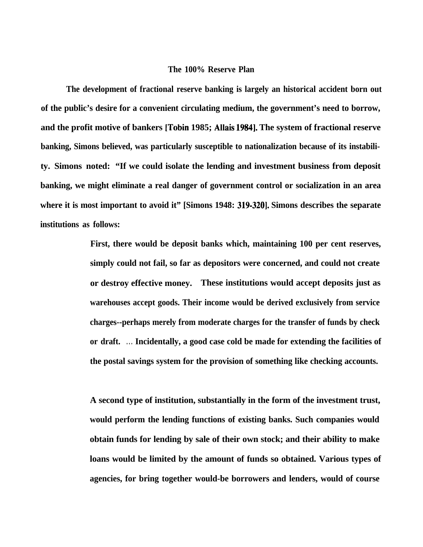### **The 100% Reserve Plan**

**The development of fractional reserve banking is largely an historical accident born out of the public's desire for a convenient circulating medium, the government's need to borrow, and the profit motive of bankers [Tobin 1985; Allais 19841. The system of fractional reserve banking, Simons believed, was particularly susceptible to nationalization because of its instability. Simons noted: "If we could isolate the lending and investment business from deposit banking, we might eliminate a real danger of government control or socialization in an area where it is most important to avoid it" [Simons 1948: 319-3201. Simons describes the separate institutions as follows:**

> **First, there would be deposit banks which, maintaining 100 per cent reserves, simply could not fail, so far as depositors were concerned, and could not create or destroy effective money. These institutions would accept deposits just as warehouses accept goods. Their income would be derived exclusively from service charges--perhaps merely from moderate charges for the transfer of funds by check or draft. . . . Incidentally, a good case cold be made for extending the facilities of the postal savings system for the provision of something like checking accounts.**

> **A second type of institution, substantially in the form of the investment trust, would perform the lending functions of existing banks. Such companies would obtain funds for lending by sale of their own stock; and their ability to make loans would be limited by the amount of funds so obtained. Various types of agencies, for bring together would-be borrowers and lenders, would of course**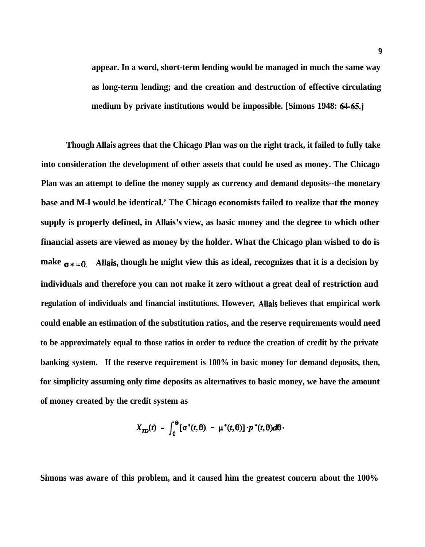**appear. In a word, short-term lending would be managed in much the same way as long-term lending; and the creation and destruction of effective circulating medium by private institutions would be impossible. [Simons 1948: 64-65.1**

**Though Allais agrees that the Chicago Plan was on the right track, it failed to fully take into consideration the development of other assets that could be used as money. The Chicago Plan was an attempt to define the money supply as currency and demand deposits--the monetary base and M-l would be identical.' The Chicago economists failed to realize that the money supply is properly defined, in Allais's view, as basic money and the degree to which other financial assets are viewed as money by the holder. What the Chicago plan wished to do is** make  $\sigma * = 0$ . Allais, though he might view this as ideal, recognizes that it is a decision by **individuals and therefore you can not make it zero without a great deal of restriction and regulation of individuals and financial institutions. However, Allais believes that empirical work could enable an estimation of the substitution ratios, and the reserve requirements would need to be approximately equal to those ratios in order to reduce the creation of credit by the private banking system. If the reserve requirement is 100% in basic money for demand deposits, then, for simplicity assuming only time deposits as alternatives to basic money, we have the amount of money created by the credit system as**

$$
X_{\mathcal{TD}}(t) = \int_0^\Theta [\sigma^*(t,\theta) - \mu^*(t,\theta)] \cdot p^*(t,\theta) d\theta.
$$

**Simons was aware of this problem, and it caused him the greatest concern about the 100%**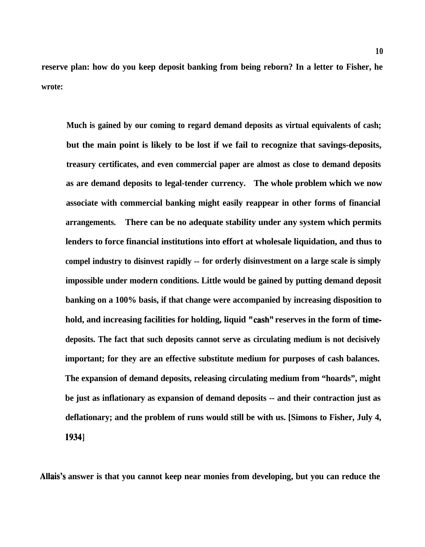**reserve plan: how do you keep deposit banking from being reborn? In a letter to Fisher, he wrote:**

**Much is gained by our coming to regard demand deposits as virtual equivalents of cash; but the main point is likely to be lost if we fail to recognize that savings-deposits, treasury certificates, and even commercial paper are almost as close to demand deposits as are demand deposits to legal-tender currency. The whole problem which we now associate with commercial banking might easily reappear in other forms of financial arrangements. There can be no adequate stability under any system which permits lenders to force financial institutions into effort at wholesale liquidation, and thus to compel industry to disinvest rapidly -- for orderly disinvestment on a large scale is simply impossible under modern conditions. Little would be gained by putting demand deposit banking on a 100% basis, if that change were accompanied by increasing disposition to hold, and increasing facilities for holding, liquid "cash" reserves in the form of timedeposits. The fact that such deposits cannot serve as circulating medium is not decisively important; for they are an effective substitute medium for purposes of cash balances. The expansion of demand deposits, releasing circulating medium from "hoards", might be just as inflationary as expansion of demand deposits -- and their contraction just as deflationary; and the problem of runs would still be with us. [Simons to Fisher, July 4, 19341**

**Allais's answer is that you cannot keep near monies from developing, but you can reduce the**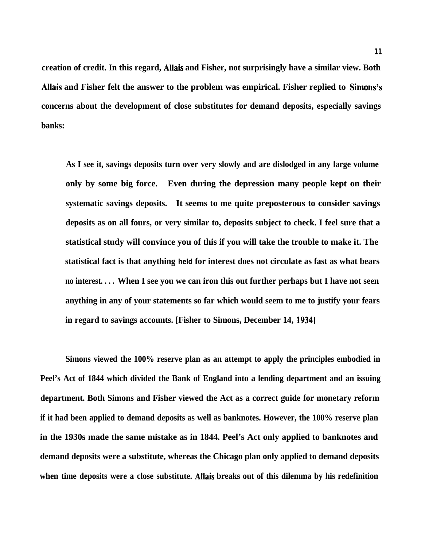**creation of credit. In this regard, Allais and Fisher, not surprisingly have a similar view. Both** Allais and Fisher felt the answer to the problem was empirical. Fisher replied to Simons's **concerns about the development of close substitutes for demand deposits, especially savings banks:**

**As I see it, savings deposits turn over very slowly and are dislodged in any large volume only by some big force. Even during the depression many people kept on their systematic savings deposits. It seems to me quite preposterous to consider savings deposits as on all fours, or very similar to, deposits subject to check. I feel sure that a statistical study will convince you of this if you will take the trouble to make it. The statistical fact is that anything held for interest does not circulate as fast as what bears no interest. . . . When I see you we can iron this out further perhaps but I have not seen anything in any of your statements so far which would seem to me to justify your fears in regard to savings accounts. [Fisher to Simons, December 14, 19341**

**Simons viewed the 100% reserve plan as an attempt to apply the principles embodied in Peel's Act of 1844 which divided the Bank of England into a lending department and an issuing department. Both Simons and Fisher viewed the Act as a correct guide for monetary reform if it had been applied to demand deposits as well as banknotes. However, the 100% reserve plan in the 1930s made the same mistake as in 1844. Peel's Act only applied to banknotes and demand deposits were a substitute, whereas the Chicago plan only applied to demand deposits when time deposits were a close substitute. Allais breaks out of this dilemma by his redefinition**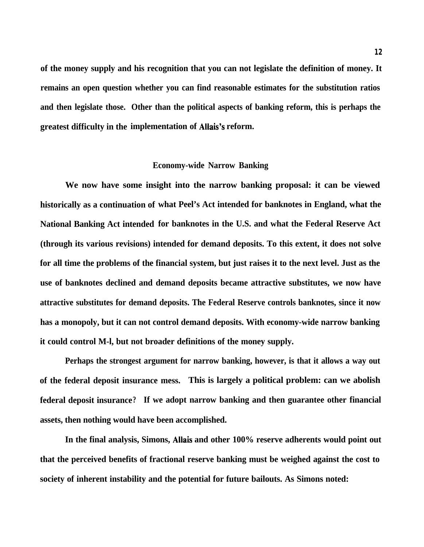**of the money supply and his recognition that you can not legislate the definition of money. It remains an open question whether you can find reasonable estimates for the substitution ratios and then legislate those. Other than the political aspects of banking reform, this is perhaps the greatest difficulty in the implementation of Allais's reform.**

### **Economy-wide Narrow Banking**

**We now have some insight into the narrow banking proposal: it can be viewed historically as a continuation of what Peel's Act intended for banknotes in England, what the National Banking Act intended for banknotes in the U.S. and what the Federal Reserve Act (through its various revisions) intended for demand deposits. To this extent, it does not solve for all time the problems of the financial system, but just raises it to the next level. Just as the use of banknotes declined and demand deposits became attractive substitutes, we now have attractive substitutes for demand deposits. The Federal Reserve controls banknotes, since it now has a monopoly, but it can not control demand deposits. With economy-wide narrow banking it could control M-l, but not broader definitions of the money supply.**

**Perhaps the strongest argument for narrow banking, however, is that it allows a way out of the federal deposit insurance mess. This is largely a political problem: can we abolish federal deposit insurance? If we adopt narrow banking and then guarantee other financial assets, then nothing would have been accomplished.**

**In the final analysis, Simons, Allais and other 100% reserve adherents would point out that the perceived benefits of fractional reserve banking must be weighed against the cost to society of inherent instability and the potential for future bailouts. As Simons noted:**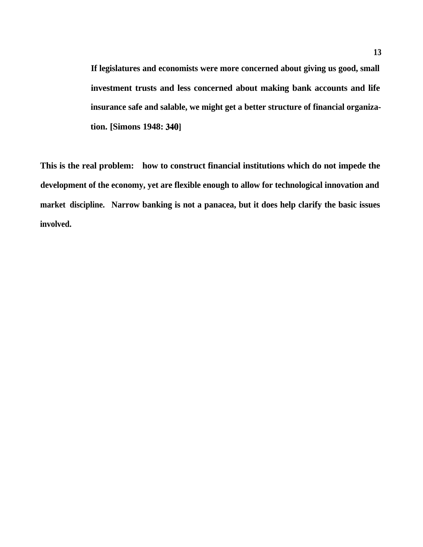**If legislatures and economists were more concerned about giving us good, small investment trusts and less concerned about making bank accounts and life insurance safe and salable, we might get a better structure of financial organization.** [Simons 1948: 340]

**This is the real problem: how to construct financial institutions which do not impede the development of the economy, yet are flexible enough to allow for technological innovation and market discipline. Narrow banking is not a panacea, but it does help clarify the basic issues involved.**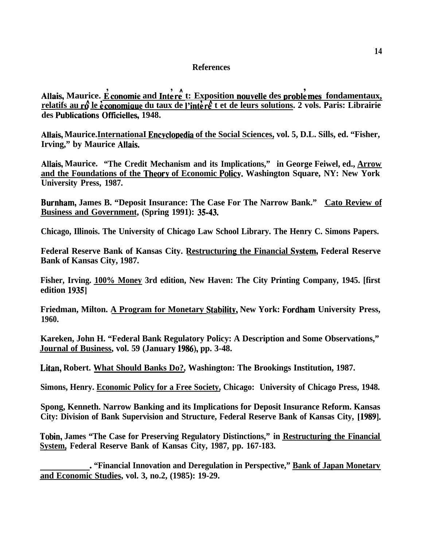## **References**

Allais, Maurice. E conomie and Intere<sup>t</sup> : Exposition nouvelle des problemes fondamentaux, relatifs au rô le economique du taux de l'intere t et de leurs solutions. 2 vols. Paris: Librairie des Publications Officielles, 1948.

**Allais, Maurice.InternationaI Encvclopedia of the Social Sciences, vol. 5, D.L. Sills, ed. "Fisher, Irving," by Maurice Allais.**

**Allais, Maurice. "The Credit Mechanism and its Implications," in George Feiwel, ed., Arrow and the Foundations of the Theorv of Economic Policv. Washington Square, NY: New York University Press, 1987.**

**Burnham, James B. "Deposit Insurance: The Case For The Narrow Bank." Cato Review of Business and Government, (Spring 1991): 3543.**

**Chicago, Illinois. The University of Chicago Law School Library. The Henry C. Simons Papers.**

**Federal Reserve Bank of Kansas City. Restructuring the Financial System, Federal Reserve Bank of Kansas City, 1987.**

**Fisher, Irving. 100% Money 3rd edition, New Haven: The City Printing Company, 1945. [first edition 19351**

**Friedman, Milton. A Program for Monetary Stabilitv, New York: Fordham University Press, 1960.**

**Kareken, John H. "Federal Bank Regulatory Policy: A Description and Some Observations," Journal of Business, vol. 59 (January 1986), pp. 3-48.**

**Litan, Robert. What Should Banks Do?, Washington: The Brookings Institution, 1987.**

**Simons, Henry. Economic Policy for a Free Society, Chicago: University of Chicago Press, 1948.**

**Spong, Kenneth. Narrow Banking and its Implications for Deposit Insurance Reform. Kansas City: Division of Bank Supervision and Structure, Federal Reserve Bank of Kansas City, [1989].**

**Tobin, James "The Case for Preserving Regulatory Distinctions," in Restructuring the Financial System, Federal Reserve Bank of Kansas City, 1987, pp. 167-183.**

. **"Financial Innovation and Deregulation in Perspective," Bank of Japan Monetarv and Economic Studies, vol. 3, no.2, (1985): 19-29.**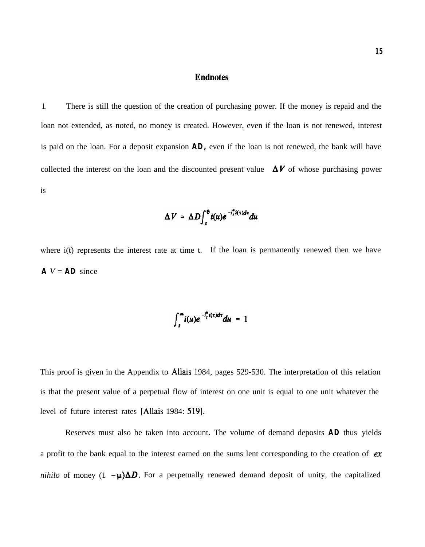# **Endnotes**

1. There is still the question of the creation of purchasing power. If the money is repaid and the loan not extended, as noted, no money is created. However, even if the loan is not renewed, interest is paid on the loan. For a deposit expansion **AD,** even if the loan is not renewed, the bank will have collected the interest on the loan and the discounted present value  $\Delta V$  of whose purchasing power is

$$
\Delta V = \Delta D \int_t^{\theta} i(u) e^{-\int_t^u i(\tau) d\tau} du
$$

where i(t) represents the interest rate at time t. If the loan is permanently renewed then we have  $A$   $V = AD$  since

$$
\int_t^{\infty} i(u)e^{-\int_t^u i(\tau)d\tau}du = 1
$$

This proof is given in the Appendix to Allais 1984, pages 529-530. The interpretation of this relation is that the present value of a perpetual flow of interest on one unit is equal to one unit whatever the level of future interest rates [Allais 1984: 519].

Reserves must also be taken into account. The volume of demand deposits **AD** thus yields a profit to the bank equal to the interest earned on the sums lent corresponding to the creation of  $ex$ *nihilo* of money  $(1 - \mu)\Delta D$ . For a perpetually renewed demand deposit of unity, the capitalized